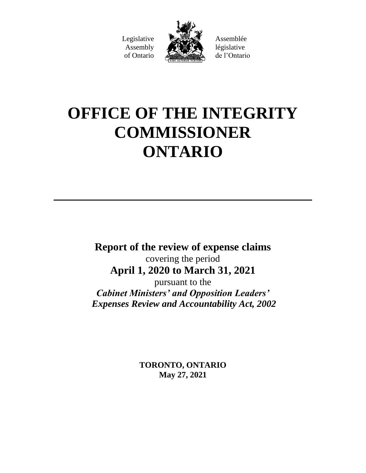Legislative Assembly of Ontario



Assemblée législative de l'Ontario

## **OFFICE OF THE INTEGRITY COMMISSIONER ONTARIO**

**Report of the review of expense claims**  covering the period **April 1, 2020 to March 31, 2021**

pursuant to the *Cabinet Ministers' and Opposition Leaders' Expenses Review and Accountability Act, 2002*

> **TORONTO, ONTARIO May 27, 2021**